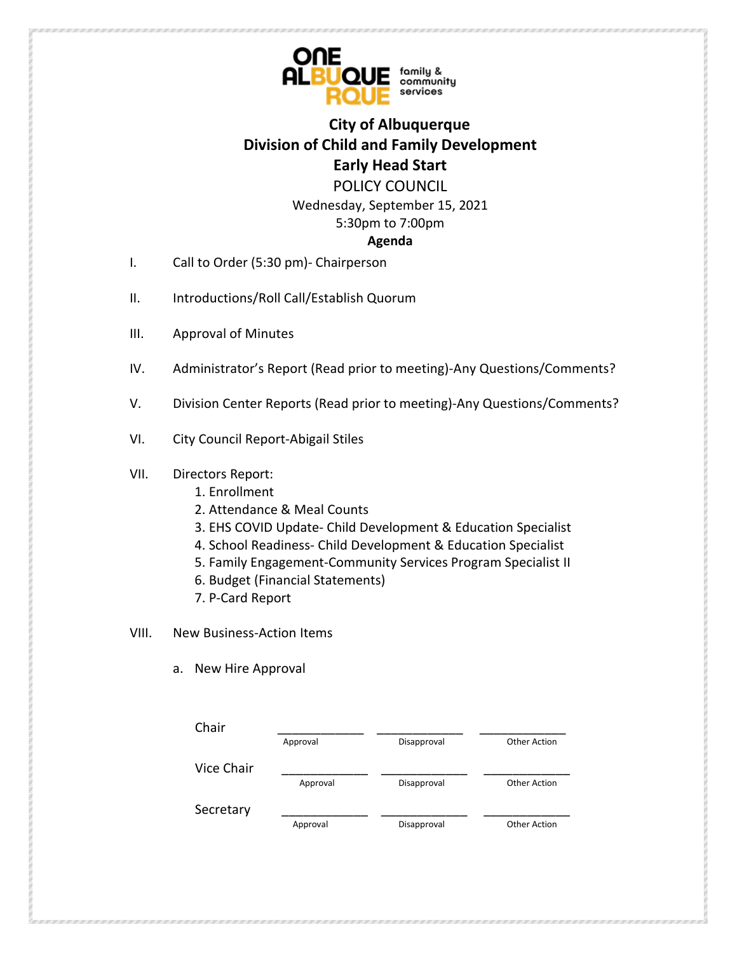

# **City of Albuquerque Division of Child and Family Development Early Head Start**

POLICY COUNCIL

Wednesday, September 15, 2021 5:30pm to 7:00pm

#### **Agenda**

- I. Call to Order (5:30 pm)- Chairperson
- II. Introductions/Roll Call/Establish Quorum
- III. Approval of Minutes
- IV. Administrator's Report (Read prior to meeting)-Any Questions/Comments?
- V. Division Center Reports (Read prior to meeting)-Any Questions/Comments?
- VI. City Council Report-Abigail Stiles
- VII. Directors Report:
	- 1. Enrollment
	- 2. Attendance & Meal Counts
	- 3. EHS COVID Update- Child Development & Education Specialist
	- 4. School Readiness- Child Development & Education Specialist
	- 5. Family Engagement-Community Services Program Specialist II
	- 6. Budget (Financial Statements)
	- 7. P-Card Report
- VIII. New Business-Action Items
	- a. New Hire Approval

| Chair      |          |             |              |
|------------|----------|-------------|--------------|
|            | Approval | Disapproval | Other Action |
| Vice Chair |          |             |              |
|            | Approval | Disapproval | Other Action |
| Secretary  |          |             |              |
|            | Approval | Disapproval | Other Action |
|            |          |             |              |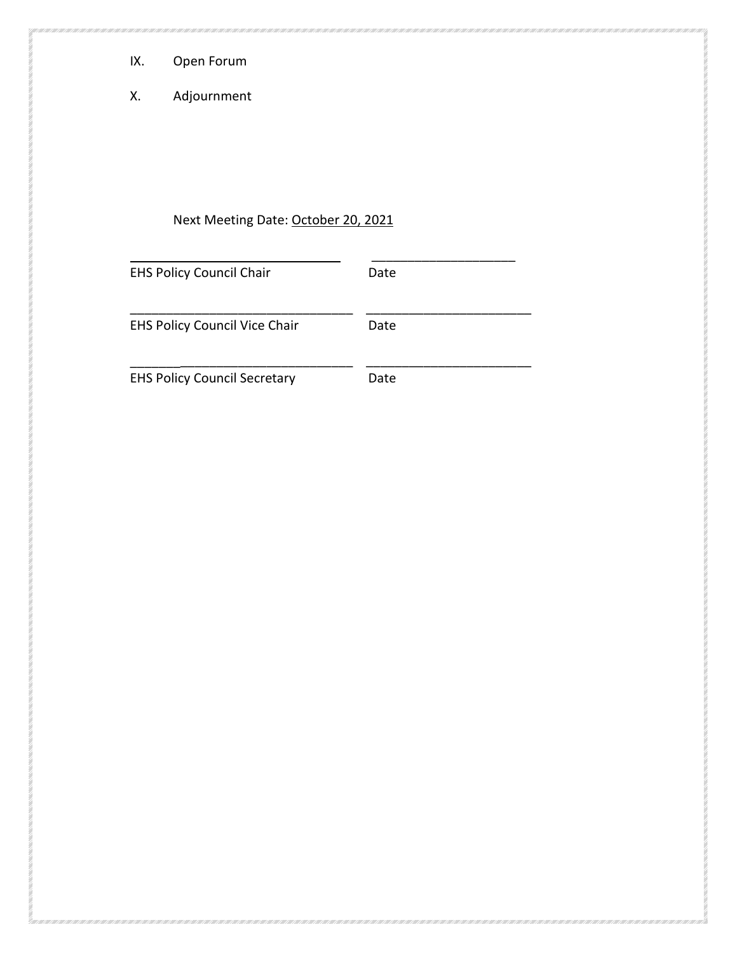- IX. Open Forum
- X. Adjournment

# Next Meeting Date: October 20, 2021

| <b>EHS Policy Council Chair</b>      | Date |
|--------------------------------------|------|
| <b>EHS Policy Council Vice Chair</b> | Date |
| <b>EHS Policy Council Secretary</b>  | Date |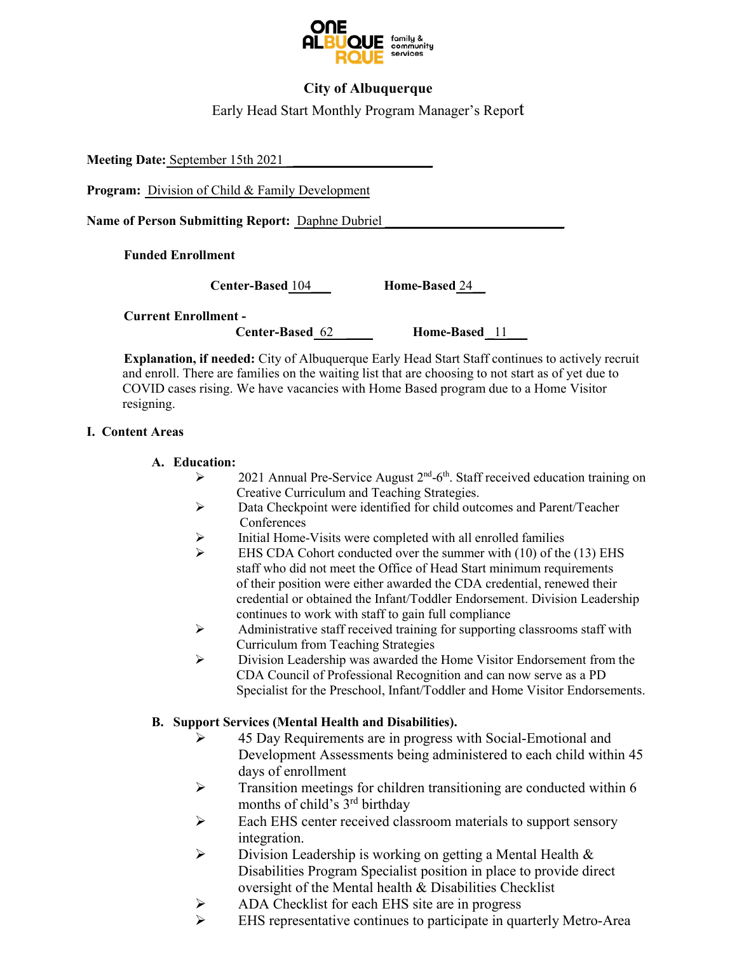

### **City of Albuquerque**

Early Head Start Monthly Program Manager's Report

**Meeting Date:** September 15th 2021 \_**\_\_\_\_\_\_\_\_\_\_\_\_\_\_\_\_\_\_\_\_\_**

**Program:** Division of Child & Family Development

**Name of Person Submitting Report: Daphne Dubriel** 

**Funded Enrollment** 

**Center-Based** 104\_\_\_ **Home-Based** 24\_\_

**Current Enrollment -** 

**Center-Based** 62 **Home-Based** 11

**Explanation, if needed:** City of Albuquerque Early Head Start Staff continues to actively recruit and enroll. There are families on the waiting list that are choosing to not start as of yet due to COVID cases rising. We have vacancies with Home Based program due to a Home Visitor resigning.

#### **I. Content Areas**

#### **A. Education:**

- $\triangleright$  2021 Annual Pre-Service August 2<sup>nd</sup>-6<sup>th</sup>. Staff received education training on Creative Curriculum and Teaching Strategies.
- Data Checkpoint were identified for child outcomes and Parent/Teacher **Conferences**
- $\triangleright$  Initial Home-Visits were completed with all enrolled families
- $\triangleright$  EHS CDA Cohort conducted over the summer with (10) of the (13) EHS staff who did not meet the Office of Head Start minimum requirements of their position were either awarded the CDA credential, renewed their credential or obtained the Infant/Toddler Endorsement. Division Leadership continues to work with staff to gain full compliance
- $\triangleright$  Administrative staff received training for supporting classrooms staff with Curriculum from Teaching Strategies
- Division Leadership was awarded the Home Visitor Endorsement from the CDA Council of Professional Recognition and can now serve as a PD Specialist for the Preschool, Infant/Toddler and Home Visitor Endorsements.

#### **B. Support Services (Mental Health and Disabilities).**

- $\geq$  45 Day Requirements are in progress with Social-Emotional and Development Assessments being administered to each child within 45 days of enrollment
- $\triangleright$  Transition meetings for children transitioning are conducted within 6 months of child's  $3<sup>rd</sup>$  birthday
- Each EHS center received classroom materials to support sensory integration.
- $\triangleright$  Division Leadership is working on getting a Mental Health  $\&$ Disabilities Program Specialist position in place to provide direct oversight of the Mental health & Disabilities Checklist
- ADA Checklist for each EHS site are in progress
- EHS representative continues to participate in quarterly Metro-Area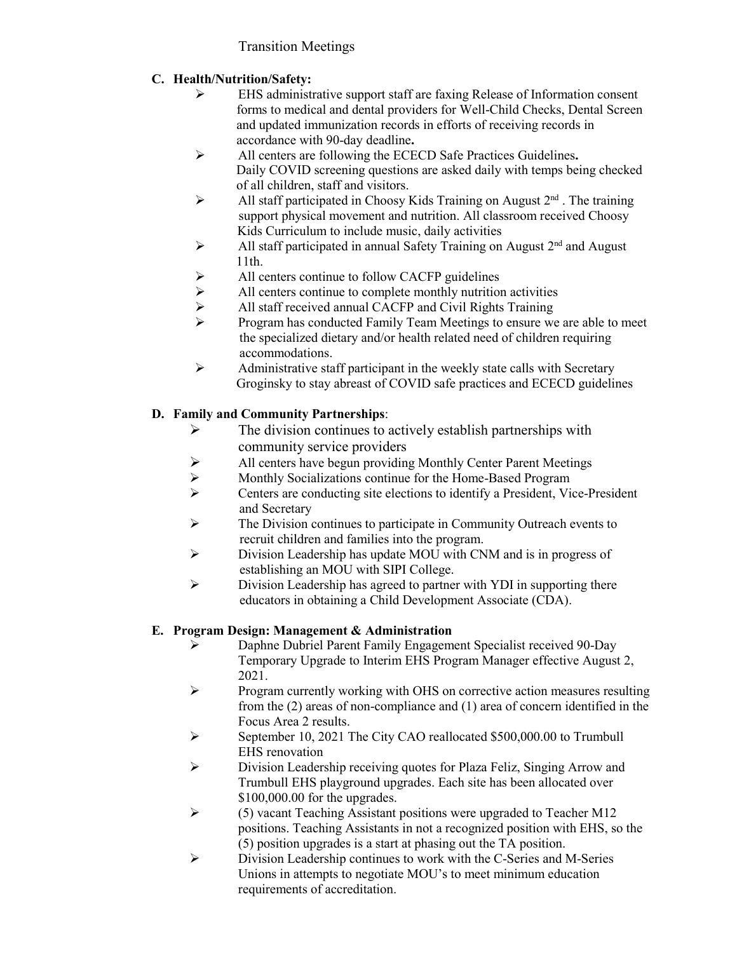# Transition Meetings

# **C. Health/Nutrition/Safety:**

- EHS administrative support staff are faxing Release of Information consent forms to medical and dental providers for Well-Child Checks, Dental Screen and updated immunization records in efforts of receiving records in accordance with 90-day deadline**.**
- All centers are following the ECECD Safe Practices Guidelines**.** Daily COVID screening questions are asked daily with temps being checked of all children, staff and visitors.
- All staff participated in Choosy Kids Training on August  $2<sup>nd</sup>$ . The training support physical movement and nutrition. All classroom received Choosy Kids Curriculum to include music, daily activities
- $\triangleright$  All staff participated in annual Safety Training on August  $2<sup>nd</sup>$  and August 11th.
- $\triangleright$  All centers continue to follow CACFP guidelines<br> $\triangleright$  All centers continue to complete monthly nutrition
- All centers continue to complete monthly nutrition activities
- All staff received annual CACFP and Civil Rights Training
- $\triangleright$  Program has conducted Family Team Meetings to ensure we are able to meet the specialized dietary and/or health related need of children requiring accommodations.
- $\triangleright$  Administrative staff participant in the weekly state calls with Secretary Groginsky to stay abreast of COVID safe practices and ECECD guidelines

# **D. Family and Community Partnerships**:

- $\triangleright$  The division continues to actively establish partnerships with community service providers
- $\triangleright$  All centers have begun providing Monthly Center Parent Meetings<br>  $\triangleright$  Monthly Socializations continue for the Home-Based Program
- Monthly Socializations continue for the Home-Based Program
- Centers are conducting site elections to identify a President, Vice-President and Secretary
- $\triangleright$  The Division continues to participate in Community Outreach events to recruit children and families into the program.
- Division Leadership has update MOU with CNM and is in progress of establishing an MOU with SIPI College.
- $\triangleright$  Division Leadership has agreed to partner with YDI in supporting there educators in obtaining a Child Development Associate (CDA).

### **E. Program Design: Management & Administration**

- Daphne Dubriel Parent Family Engagement Specialist received 90-Day Temporary Upgrade to Interim EHS Program Manager effective August 2, 2021.
- $\triangleright$  Program currently working with OHS on corrective action measures resulting from the (2) areas of non-compliance and (1) area of concern identified in the Focus Area 2 results.
- September 10, 2021 The City CAO reallocated \$500,000.00 to Trumbull EHS renovation
- Division Leadership receiving quotes for Plaza Feliz, Singing Arrow and Trumbull EHS playground upgrades. Each site has been allocated over \$100,000.00 for the upgrades.
- $\triangleright$  (5) vacant Teaching Assistant positions were upgraded to Teacher M12 positions. Teaching Assistants in not a recognized position with EHS, so the (5) position upgrades is a start at phasing out the TA position.
- $\triangleright$  Division Leadership continues to work with the C-Series and M-Series Unions in attempts to negotiate MOU's to meet minimum education requirements of accreditation.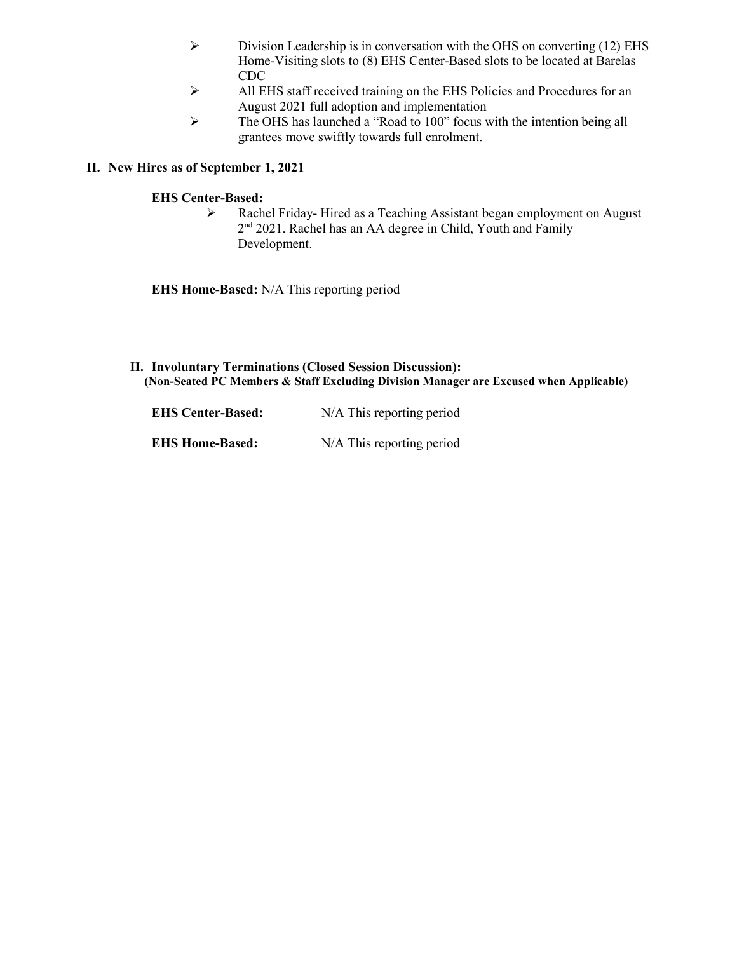- $\triangleright$  Division Leadership is in conversation with the OHS on converting (12) EHS Home-Visiting slots to (8) EHS Center-Based slots to be located at Barelas CDC
- All EHS staff received training on the EHS Policies and Procedures for an August 2021 full adoption and implementation
- The OHS has launched a "Road to 100" focus with the intention being all grantees move swiftly towards full enrolment.

#### **II. New Hires as of September 1, 2021**

#### **EHS Center-Based:**

 Rachel Friday- Hired as a Teaching Assistant began employment on August 2<sup>nd</sup> 2021. Rachel has an AA degree in Child, Youth and Family Development.

**EHS Home-Based:** N/A This reporting period

**II. Involuntary Terminations (Closed Session Discussion): (Non-Seated PC Members & Staff Excluding Division Manager are Excused when Applicable)**

| <b>EHS Center-Based:</b> | $N/A$ This reporting period |
|--------------------------|-----------------------------|
| <b>EHS Home-Based:</b>   | N/A This reporting period   |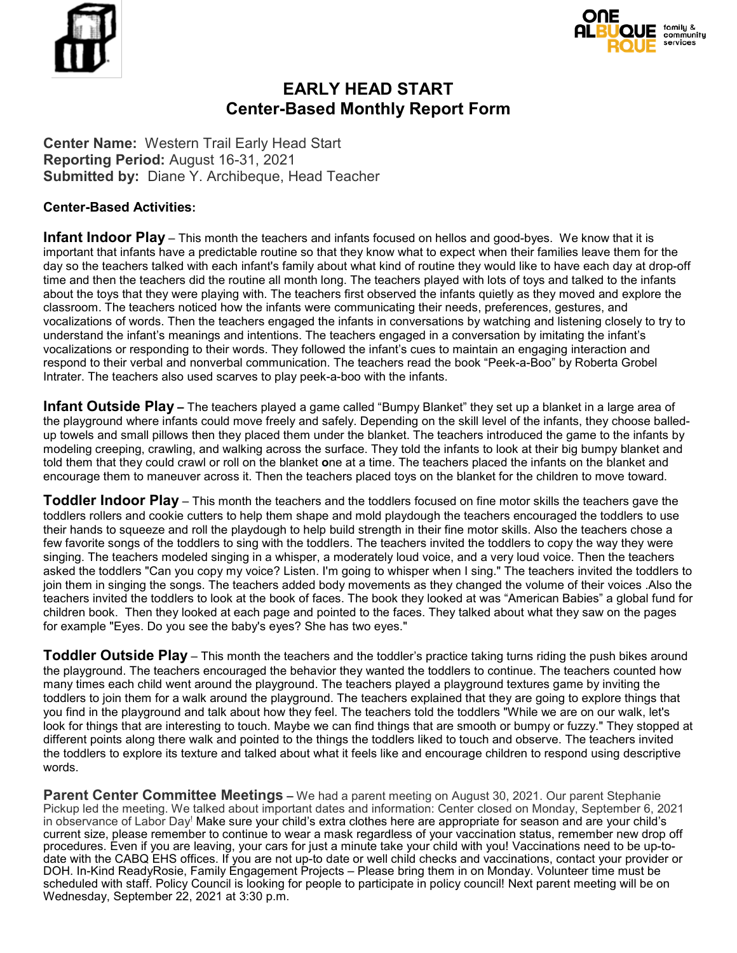



# **EARLY HEAD START Center-Based Monthly Report Form**

**Center Name:** Western Trail Early Head Start **Reporting Period:** August 16-31, 2021 **Submitted by:** Diane Y. Archibeque, Head Teacher

#### **Center-Based Activities:**

**Infant Indoor Play** – This month the teachers and infants focused on hellos and good-byes. We know that it is important that infants have a predictable routine so that they know what to expect when their families leave them for the day so the teachers talked with each infant's family about what kind of routine they would like to have each day at drop-off time and then the teachers did the routine all month long. The teachers played with lots of toys and talked to the infants about the toys that they were playing with. The teachers first observed the infants quietly as they moved and explore the classroom. The teachers noticed how the infants were communicating their needs, preferences, gestures, and vocalizations of words. Then the teachers engaged the infants in conversations by watching and listening closely to try to understand the infant's meanings and intentions. The teachers engaged in a conversation by imitating the infant's vocalizations or responding to their words. They followed the infant's cues to maintain an engaging interaction and respond to their verbal and nonverbal communication. The teachers read the book "Peek-a-Boo" by Roberta Grobel Intrater. The teachers also used scarves to play peek-a-boo with the infants.

**Infant Outside Play –** The teachers played a game called "Bumpy Blanket" they set up a blanket in a large area of the playground where infants could move freely and safely. Depending on the skill level of the infants, they choose balledup towels and small pillows then they placed them under the blanket. The teachers introduced the game to the infants by modeling creeping, crawling, and walking across the surface. They told the infants to look at their big bumpy blanket and told them that they could crawl or roll on the blanket **o**ne at a time. The teachers placed the infants on the blanket and encourage them to maneuver across it. Then the teachers placed toys on the blanket for the children to move toward.

**Toddler Indoor Play** – This month the teachers and the toddlers focused on fine motor skills the teachers gave the toddlers rollers and cookie cutters to help them shape and mold playdough the teachers encouraged the toddlers to use their hands to squeeze and roll the playdough to help build strength in their fine motor skills. Also the teachers chose a few favorite songs of the toddlers to sing with the toddlers. The teachers invited the toddlers to copy the way they were singing. The teachers modeled singing in a whisper, a moderately loud voice, and a very loud voice. Then the teachers asked the toddlers "Can you copy my voice? Listen. I'm going to whisper when I sing." The teachers invited the toddlers to join them in singing the songs. The teachers added body movements as they changed the volume of their voices .Also the teachers invited the toddlers to look at the book of faces. The book they looked at was "American Babies" a global fund for children book. Then they looked at each page and pointed to the faces. They talked about what they saw on the pages for example "Eyes. Do you see the baby's eyes? She has two eyes."

**Toddler Outside Play** – This month the teachers and the toddler's practice taking turns riding the push bikes around the playground. The teachers encouraged the behavior they wanted the toddlers to continue. The teachers counted how many times each child went around the playground. The teachers played a playground textures game by inviting the toddlers to join them for a walk around the playground. The teachers explained that they are going to explore things that you find in the playground and talk about how they feel. The teachers told the toddlers "While we are on our walk, let's look for things that are interesting to touch. Maybe we can find things that are smooth or bumpy or fuzzy." They stopped at different points along there walk and pointed to the things the toddlers liked to touch and observe. The teachers invited the toddlers to explore its texture and talked about what it feels like and encourage children to respond using descriptive words.

**Parent Center Committee Meetings –** We had a parent meeting on August 30, 2021. Our parent Stephanie Pickup led the meeting. We talked about important dates and information: Center closed on Monday, September 6, 2021 in observance of Labor Day! Make sure your child's extra clothes here are appropriate for season and are your child's current size, please remember to continue to wear a mask regardless of your vaccination status, remember new drop off procedures. Even if you are leaving, your cars for just a minute take your child with you! Vaccinations need to be up-todate with the CABQ EHS offices. If you are not up-to date or well child checks and vaccinations, contact your provider or DOH. In-Kind ReadyRosie, Family Engagement Projects - Please bring them in on Monday. Volunteer time must be scheduled with staff. Policy Council is looking for people to participate in policy council! Next parent meeting will be on Wednesday, September 22, 2021 at 3:30 p.m.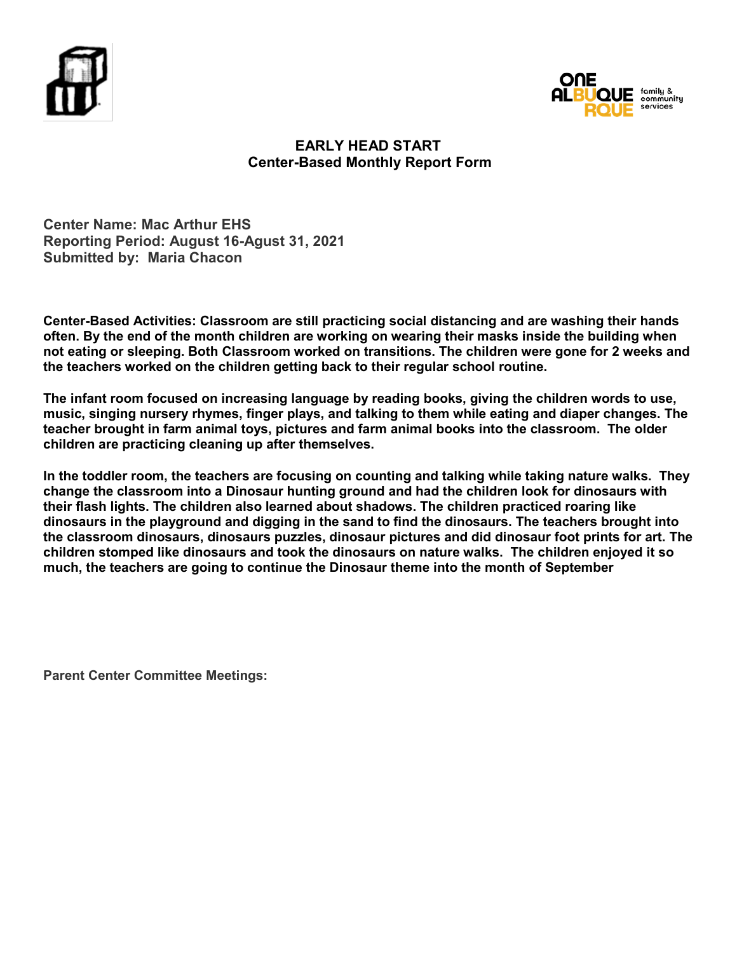



# **EARLY HEAD START Center-Based Monthly Report Form**

**Center Name: Mac Arthur EHS Reporting Period: August 16-Agust 31, 2021 Submitted by: Maria Chacon**

**Center-Based Activities: Classroom are still practicing social distancing and are washing their hands often. By the end of the month children are working on wearing their masks inside the building when not eating or sleeping. Both Classroom worked on transitions. The children were gone for 2 weeks and the teachers worked on the children getting back to their regular school routine.** 

**The infant room focused on increasing language by reading books, giving the children words to use, music, singing nursery rhymes, finger plays, and talking to them while eating and diaper changes. The teacher brought in farm animal toys, pictures and farm animal books into the classroom. The older children are practicing cleaning up after themselves.** 

**In the toddler room, the teachers are focusing on counting and talking while taking nature walks. They change the classroom into a Dinosaur hunting ground and had the children look for dinosaurs with their flash lights. The children also learned about shadows. The children practiced roaring like dinosaurs in the playground and digging in the sand to find the dinosaurs. The teachers brought into the classroom dinosaurs, dinosaurs puzzles, dinosaur pictures and did dinosaur foot prints for art. The children stomped like dinosaurs and took the dinosaurs on nature walks. The children enjoyed it so much, the teachers are going to continue the Dinosaur theme into the month of September**

**Parent Center Committee Meetings:**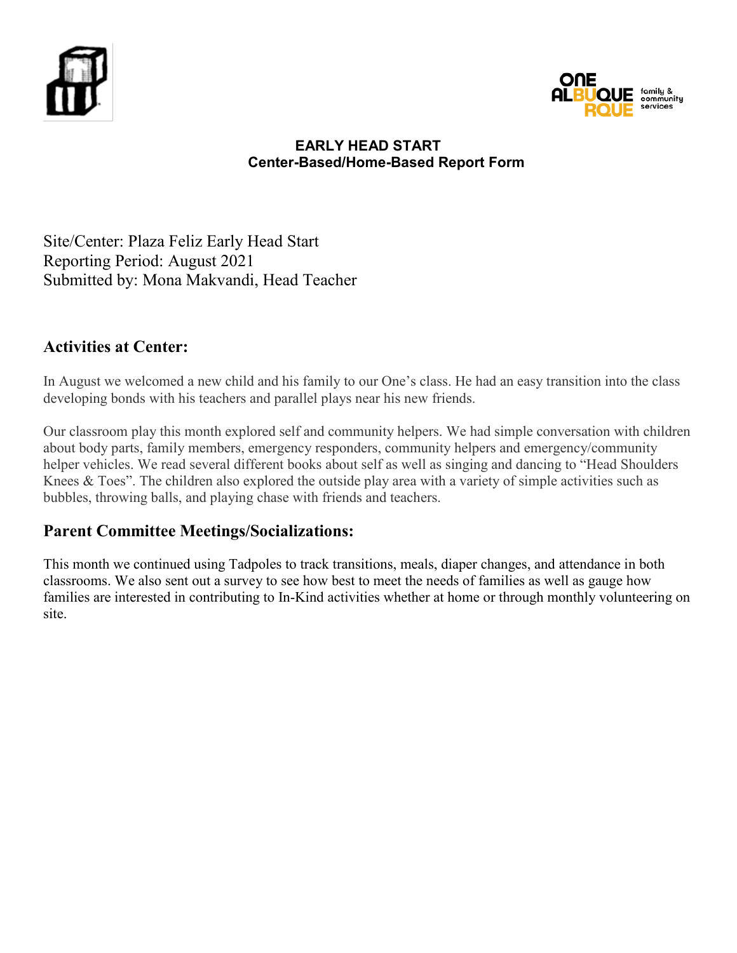



Site/Center: Plaza Feliz Early Head Start Reporting Period: August 2021 Submitted by: Mona Makvandi, Head Teacher

# **Activities at Center:**

In August we welcomed a new child and his family to our One's class. He had an easy transition into the class developing bonds with his teachers and parallel plays near his new friends.

Our classroom play this month explored self and community helpers. We had simple conversation with children about body parts, family members, emergency responders, community helpers and emergency/community helper vehicles. We read several different books about self as well as singing and dancing to "Head Shoulders Knees & Toes". The children also explored the outside play area with a variety of simple activities such as bubbles, throwing balls, and playing chase with friends and teachers.

# **Parent Committee Meetings/Socializations:**

This month we continued using Tadpoles to track transitions, meals, diaper changes, and attendance in both classrooms. We also sent out a survey to see how best to meet the needs of families as well as gauge how families are interested in contributing to In-Kind activities whether at home or through monthly volunteering on site.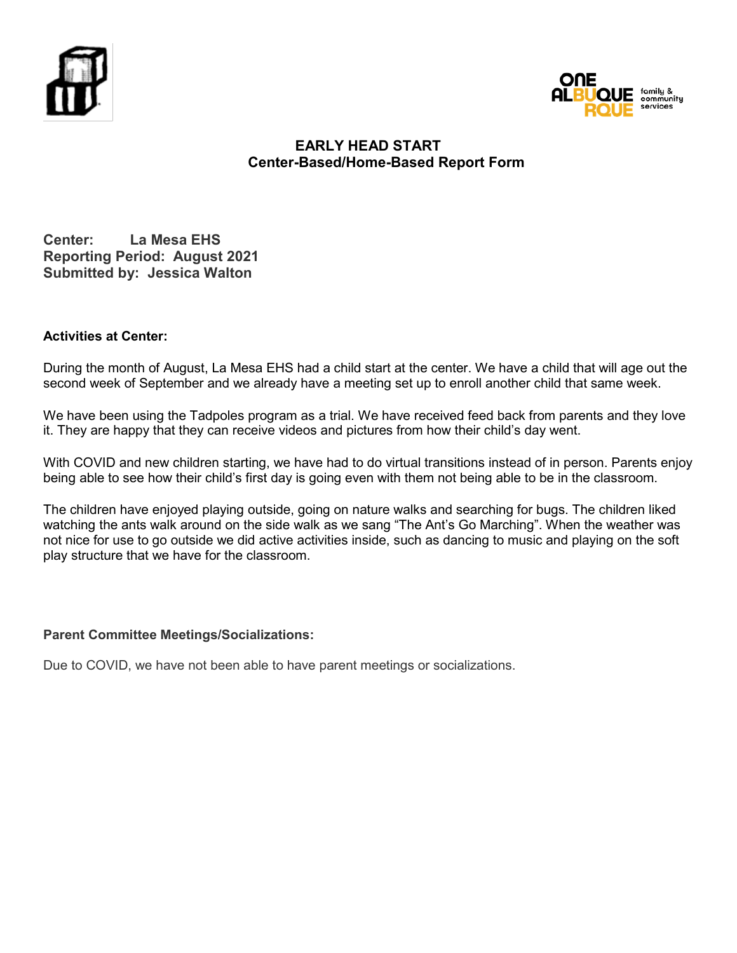



**Center: La Mesa EHS Reporting Period: August 2021 Submitted by: Jessica Walton**

#### **Activities at Center:**

During the month of August, La Mesa EHS had a child start at the center. We have a child that will age out the second week of September and we already have a meeting set up to enroll another child that same week.

We have been using the Tadpoles program as a trial. We have received feed back from parents and they love it. They are happy that they can receive videos and pictures from how their child's day went.

With COVID and new children starting, we have had to do virtual transitions instead of in person. Parents enjoy being able to see how their child's first day is going even with them not being able to be in the classroom.

The children have enjoyed playing outside, going on nature walks and searching for bugs. The children liked watching the ants walk around on the side walk as we sang "The Ant's Go Marching". When the weather was not nice for use to go outside we did active activities inside, such as dancing to music and playing on the soft play structure that we have for the classroom.

#### **Parent Committee Meetings/Socializations:**

Due to COVID, we have not been able to have parent meetings or socializations.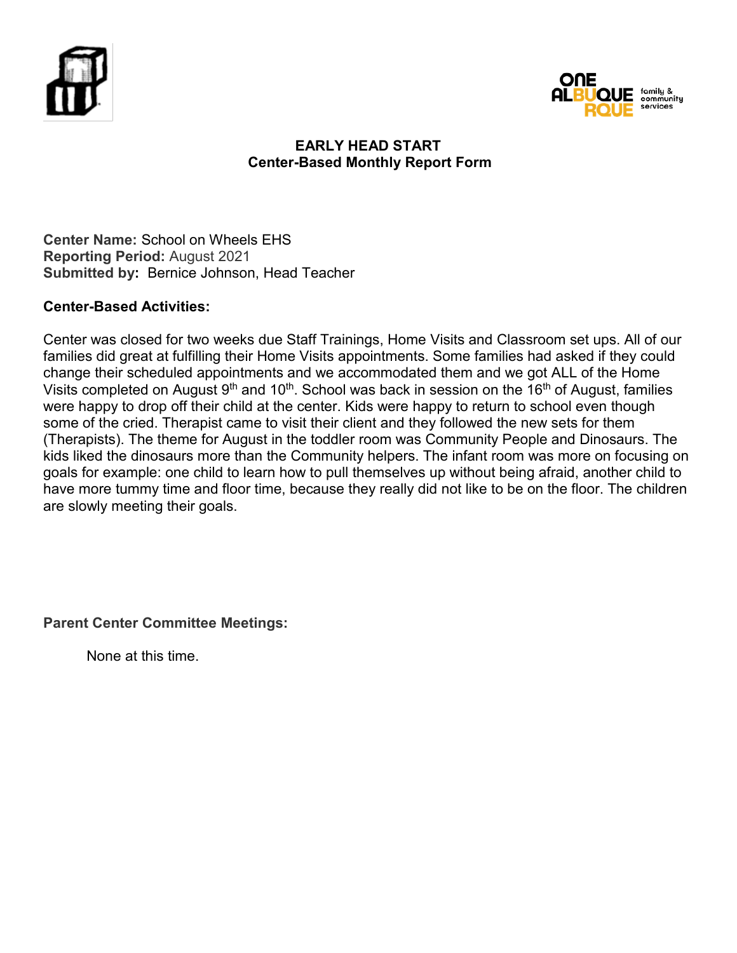



# **EARLY HEAD START Center-Based Monthly Report Form**

**Center Name:** School on Wheels EHS **Reporting Period:** August 2021 **Submitted by:** Bernice Johnson, Head Teacher

# **Center-Based Activities:**

Center was closed for two weeks due Staff Trainings, Home Visits and Classroom set ups. All of our families did great at fulfilling their Home Visits appointments. Some families had asked if they could change their scheduled appointments and we accommodated them and we got ALL of the Home Visits completed on August  $9<sup>th</sup>$  and 10<sup>th</sup>. School was back in session on the 16<sup>th</sup> of August, families were happy to drop off their child at the center. Kids were happy to return to school even though some of the cried. Therapist came to visit their client and they followed the new sets for them (Therapists). The theme for August in the toddler room was Community People and Dinosaurs. The kids liked the dinosaurs more than the Community helpers. The infant room was more on focusing on goals for example: one child to learn how to pull themselves up without being afraid, another child to have more tummy time and floor time, because they really did not like to be on the floor. The children are slowly meeting their goals.

**Parent Center Committee Meetings:**

None at this time.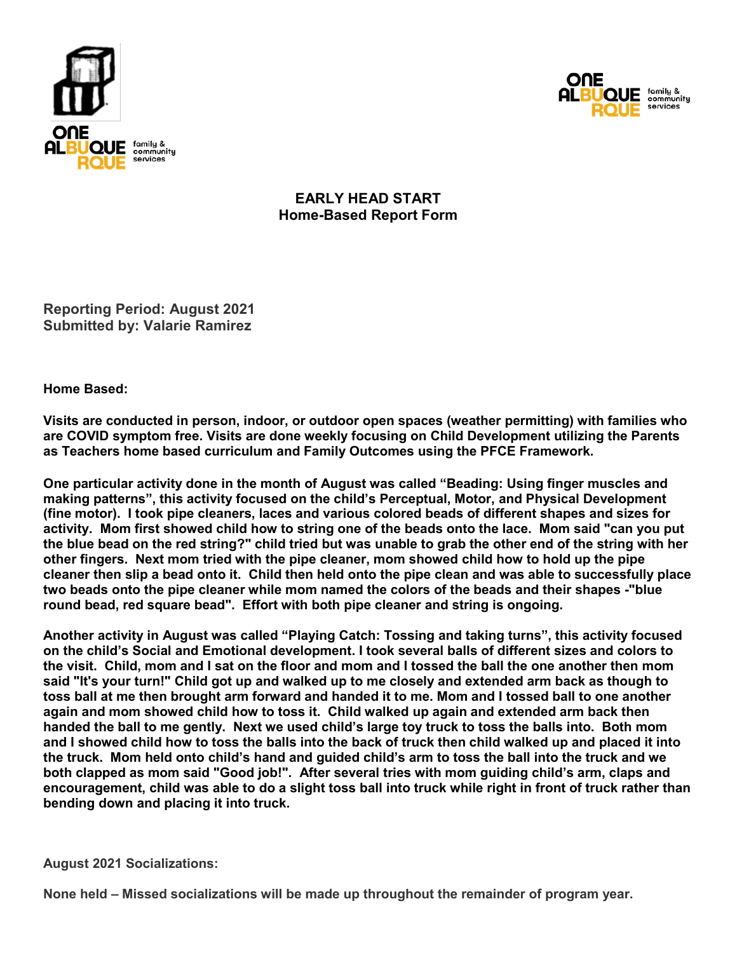



**EARLY HEAD START Home-Based Report Form**

**Reporting Period: August 2021 Submitted by: Valarie Ramirez** 

**Home Based:** 

**Visits are conducted in person, indoor, or outdoor open spaces (weather permitting) with families who are COVID symptom free. Visits are done weekly focusing on Child Development utilizing the Parents as Teachers home based curriculum and Family Outcomes using the PFCE Framework.** 

**One particular activity done in the month of August was called "Beading: Using finger muscles and making patterns", this activity focused on the child's Perceptual, Motor, and Physical Development (fine motor). I took pipe cleaners, laces and various colored beads of different shapes and sizes for activity. Mom first showed child how to string one of the beads onto the lace. Mom said "can you put the blue bead on the red string?" child tried but was unable to grab the other end of the string with her other fingers. Next mom tried with the pipe cleaner, mom showed child how to hold up the pipe cleaner then slip a bead onto it. Child then held onto the pipe clean and was able to successfully place two beads onto the pipe cleaner while mom named the colors of the beads and their shapes -"blue round bead, red square bead". Effort with both pipe cleaner and string is ongoing.** 

**Another activity in August was called "Playing Catch: Tossing and taking turns", this activity focused on the child's Social and Emotional development. I took several balls of different sizes and colors to the visit. Child, mom and I sat on the floor and mom and I tossed the ball the one another then mom said "It's your turn!" Child got up and walked up to me closely and extended arm back as though to toss ball at me then brought arm forward and handed it to me. Mom and I tossed ball to one another again and mom showed child how to toss it. Child walked up again and extended arm back then handed the ball to me gently. Next we used child's large toy truck to toss the balls into. Both mom and I showed child how to toss the balls into the back of truck then child walked up and placed it into the truck. Mom held onto child's hand and guided child's arm to toss the ball into the truck and we both clapped as mom said "Good job!". After several tries with mom guiding child's arm, claps and encouragement, child was able to do a slight toss ball into truck while right in front of truck rather than bending down and placing it into truck.**

**August 2021 Socializations:**

**None held – Missed socializations will be made up throughout the remainder of program year.**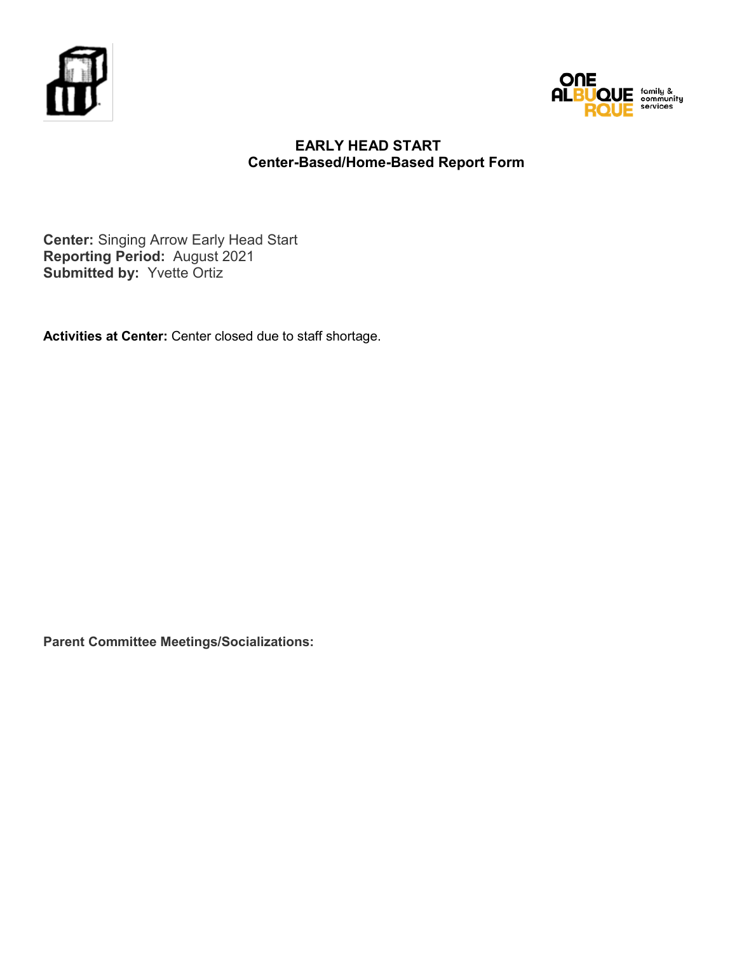



**Center:** Singing Arrow Early Head Start **Reporting Period:** August 2021 **Submitted by:** Yvette Ortiz

**Activities at Center:** Center closed due to staff shortage.

**Parent Committee Meetings/Socializations:**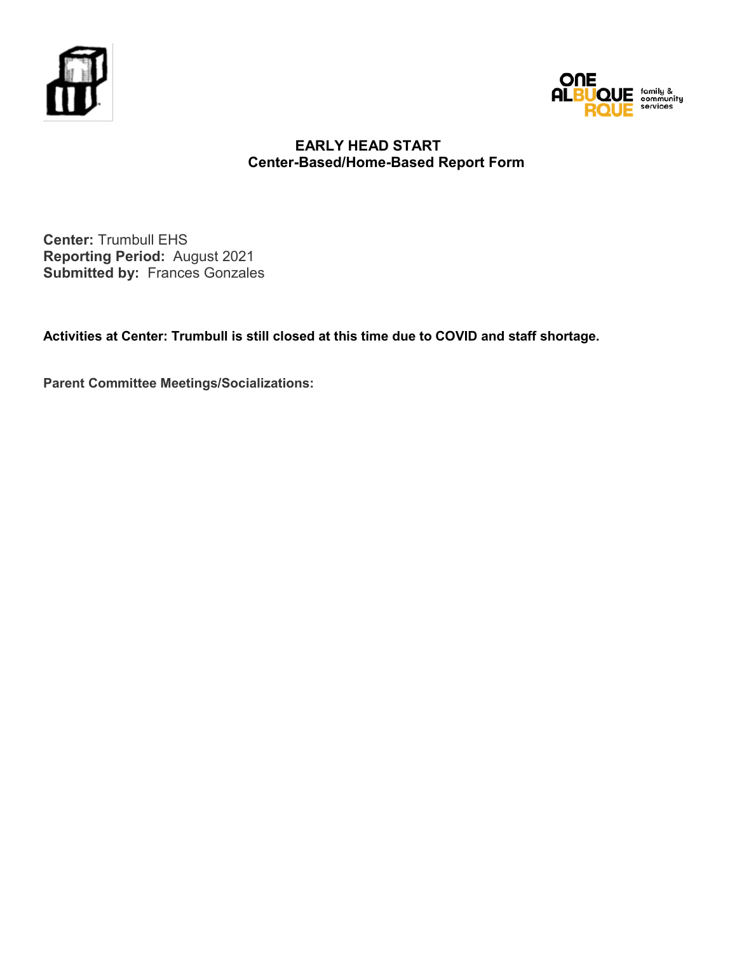



**Center:** Trumbull EHS **Reporting Period:** August 2021 **Submitted by:** Frances Gonzales

**Activities at Center: Trumbull is still closed at this time due to COVID and staff shortage.**

**Parent Committee Meetings/Socializations:**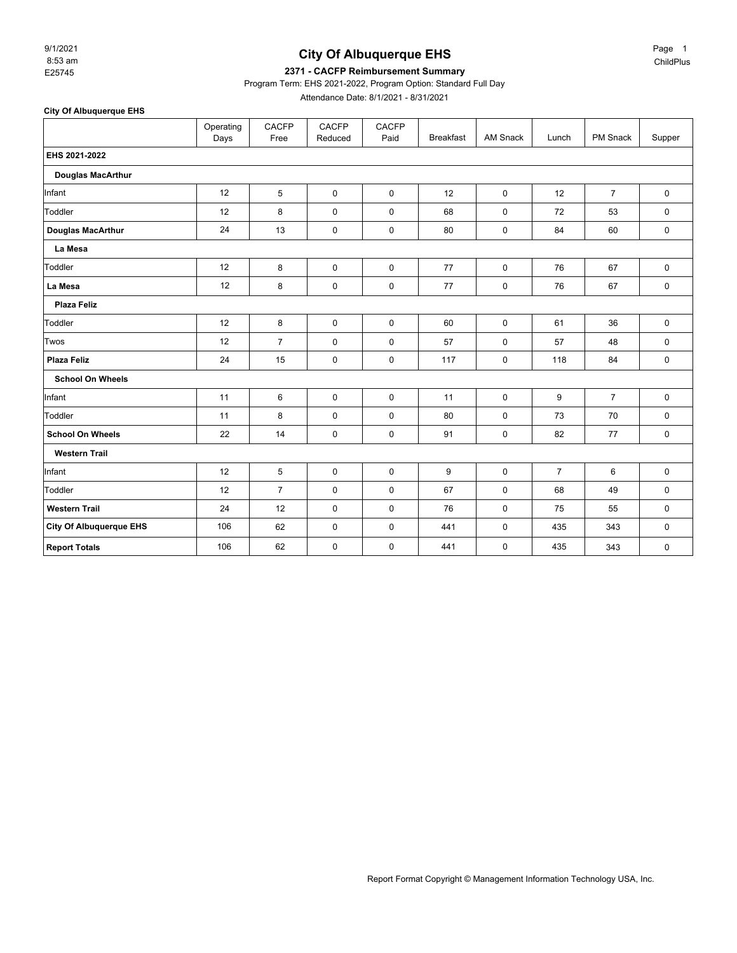8:53 am 9/1/2021

#### **City Of Albuquerque EHS**

#### E25745 **2371 - CACFP Reimbursement Summary**

Program Term: EHS 2021-2022, Program Option: Standard Full Day

Attendance Date: 8/1/2021 - 8/31/2021

**City Of Albuquerque EHS** Operating .<br>Days CACFP Free CACFP Reduced CACFP<br>Paid Breakfast | AM Snack | Lunch | PM Snack | Supper **EHS 2021-2022 Douglas MacArthur** Infant 12 5 0 0 12 0 12 7 0 Toddler 12 8 0 0 68 0 72 53 0 **Douglas MacArthur** 24 13 0 0 80 0 84 60 0 **La Mesa** Toddler 12 8 0 0 77 0 76 67 0 **La Mesa** 12 8 0 0 77 0 76 67 0 **Plaza Feliz** Toddler 12 8 0 0 60 0 61 36 0 Twos | 12 | 7 | 0 | 57 | 0 | 57 | 48 | 0 **Plaza Feliz** 24 15 0 0 117 0 118 84 0 **School On Wheels** Infant | 11 | 6 | 0 | 0 | 11 | 0 | 9 | 7 | 0 Toddler 11 8 0 0 80 0 73 70 0 **School On Wheels** 22 14 0 0 91 0 82 77 0 **Western Trail** Infant 12 5 0 0 9 0 7 6 0 Toddler 12 7 0 0 67 0 68 49 0 **Western Trail** 24 12 0 0 76 0 75 55 0 **City Of Albuquerque EHS** 106 62 0 0 441 0 435 343 0

**Report Totals** 106 62 0 0 441 0 435 343 0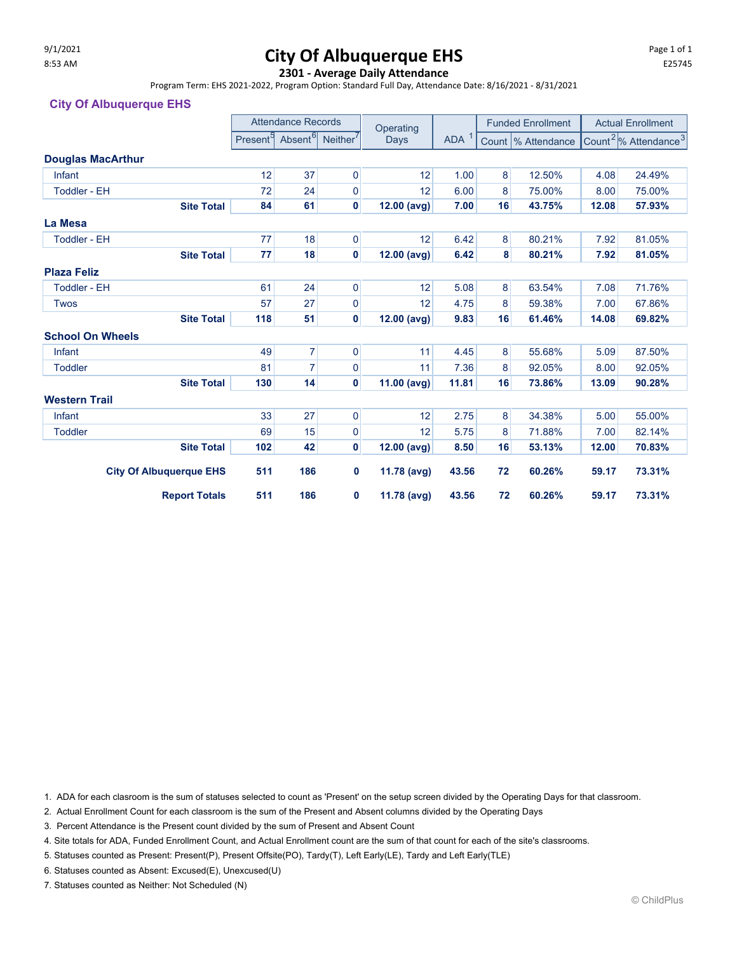# $\frac{9}{11/2021}$  Page 1 of 1 and  $\frac{1}{25745}$  **City Of Albuquerque EHS**

#### **2301 - Average Daily Attendance**

Program Term: EHS 2021-2022, Program Option: Standard Full Day, Attendance Date: 8/16/2021 - 8/31/2021

#### **City Of Albuquerque EHS**

|                          |                                |                      | <b>Attendance Records</b> |                      | Operating                |       |                     | <b>Funded Enrollment</b> |       | <b>Actual Enrollment</b>                      |  |
|--------------------------|--------------------------------|----------------------|---------------------------|----------------------|--------------------------|-------|---------------------|--------------------------|-------|-----------------------------------------------|--|
|                          |                                | Present <sup>9</sup> | Absent <sup>6</sup>       | Neither <sup>'</sup> | ADA <sup>1</sup><br>Days |       | Count  % Attendance |                          |       | Count <sup>2</sup> /% Attendance <sup>3</sup> |  |
| <b>Douglas MacArthur</b> |                                |                      |                           |                      |                          |       |                     |                          |       |                                               |  |
| Infant                   |                                | 12                   | 37                        | $\mathbf 0$          | 12                       | 1.00  | 8                   | 12.50%                   | 4.08  | 24.49%                                        |  |
| <b>Toddler - EH</b>      |                                | 72                   | 24                        | 0                    | 12                       | 6.00  | 8                   | 75.00%                   | 8.00  | 75.00%                                        |  |
|                          | <b>Site Total</b>              | 84                   | 61                        | $\mathbf{0}$         | 12.00 (avg)              | 7.00  | 16                  | 43.75%                   | 12.08 | 57.93%                                        |  |
| La Mesa                  |                                |                      |                           |                      |                          |       |                     |                          |       |                                               |  |
| <b>Toddler - EH</b>      |                                | 77                   | 18                        | $\overline{0}$       | 12                       | 6.42  | 8                   | 80.21%                   | 7.92  | 81.05%                                        |  |
|                          | <b>Site Total</b>              | 77                   | 18                        | 0                    | 12.00 (avg)              | 6.42  | 8                   | 80.21%                   | 7.92  | 81.05%                                        |  |
| <b>Plaza Feliz</b>       |                                |                      |                           |                      |                          |       |                     |                          |       |                                               |  |
| <b>Toddler - EH</b>      |                                |                      |                           |                      | 12                       | 5.08  | 8                   | 63.54%                   | 7.08  | 71.76%                                        |  |
| <b>Twos</b>              |                                | 57                   | 27                        | $\mathbf 0$          | 12                       | 4.75  |                     | 59.38%                   | 7.00  | 67.86%                                        |  |
|                          | <b>Site Total</b>              | 118                  | 51                        | 0                    | 12.00 (avg)              | 9.83  | 16                  | 61.46%                   | 14.08 | 69.82%                                        |  |
| <b>School On Wheels</b>  |                                |                      |                           |                      |                          |       |                     |                          |       |                                               |  |
| Infant                   |                                | 49                   | 7                         | $\mathbf 0$          | 11                       | 4.45  | 8                   | 55.68%                   | 5.09  | 87.50%                                        |  |
| <b>Toddler</b>           |                                | 81                   | 7                         | 0                    | 11                       | 7.36  | 8                   | 92.05%                   | 8.00  | 92.05%                                        |  |
|                          | <b>Site Total</b>              | 130                  | 14                        | 0                    | 11.00 (avg)              | 11.81 | 16                  | 73.86%                   | 13.09 | 90.28%                                        |  |
| <b>Western Trail</b>     |                                |                      |                           |                      |                          |       |                     |                          |       |                                               |  |
| Infant                   |                                | 33                   | 27                        | $\pmb{0}$            | 12                       | 2.75  | 8                   | 34.38%                   | 5.00  | 55.00%                                        |  |
| <b>Toddler</b>           |                                | 69                   | 15                        | 0                    | 12                       | 5.75  | 8                   | 71.88%                   | 7.00  | 82.14%                                        |  |
|                          | <b>Site Total</b>              | 102                  | 42                        | $\mathbf 0$          | $12.00$ (avg)            | 8.50  | 16                  | 53.13%                   | 12.00 | 70.83%                                        |  |
|                          | <b>City Of Albuquerque EHS</b> | 511                  | 186                       | 0                    | 11.78 (avg)              | 43.56 | 72                  | 60.26%                   | 59.17 | 73.31%                                        |  |
|                          | <b>Report Totals</b>           | 511                  | 186                       | 0                    | 11.78 (avg)              | 43.56 | 72                  | 60.26%                   | 59.17 | 73.31%                                        |  |

1. ADA for each clasroom is the sum of statuses selected to count as 'Present' on the setup screen divided by the Operating Days for that classroom.

2. Actual Enrollment Count for each classroom is the sum of the Present and Absent columns divided by the Operating Days

3. Percent Attendance is the Present count divided by the sum of Present and Absent Count

4. Site totals for ADA, Funded Enrollment Count, and Actual Enrollment count are the sum of that count for each of the site's classrooms.

5. Statuses counted as Present: Present(P), Present Offsite(PO), Tardy(T), Left Early(LE), Tardy and Left Early(TLE)

6. Statuses counted as Absent: Excused(E), Unexcused(U)

7. Statuses counted as Neither: Not Scheduled (N)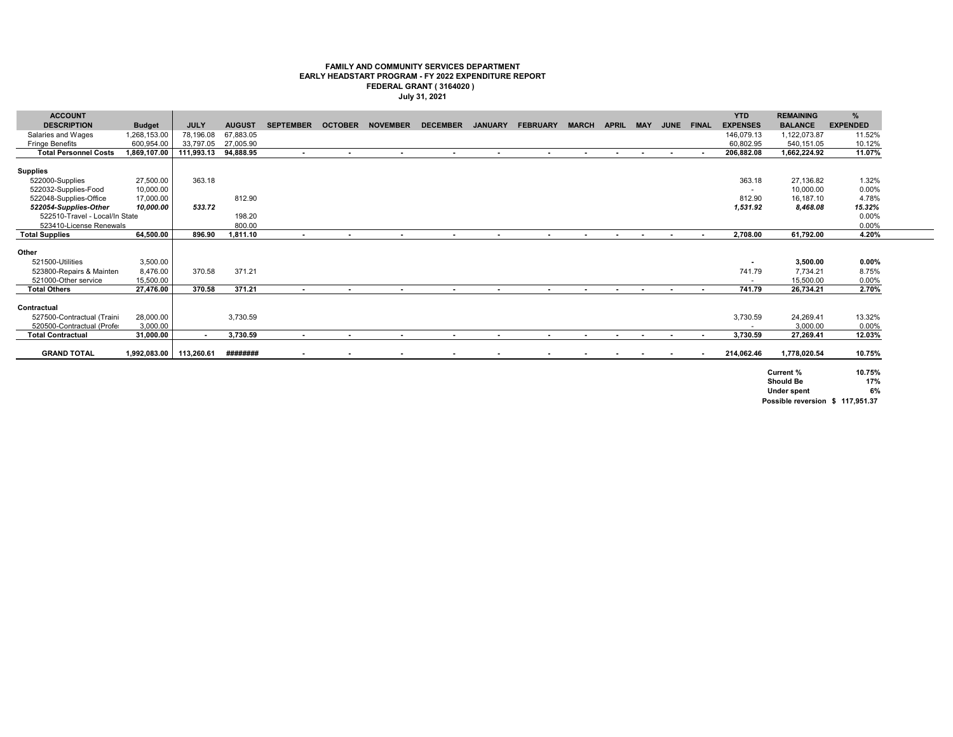#### **FAMILY AND COMMUNITY SERVICES DEPARTMENT EARLY HEADSTART PROGRAM - FY 2022 EXPENDITURE REPORT FEDERAL GRANT ( 3164020 ) July 31, 2021**

| <b>ACCOUNT</b>                 |               |             |               |                  |                |                         |                 |                |                 |                |              |            |                |                | <b>YTD</b>      | <b>REMAINING</b>   | %               |
|--------------------------------|---------------|-------------|---------------|------------------|----------------|-------------------------|-----------------|----------------|-----------------|----------------|--------------|------------|----------------|----------------|-----------------|--------------------|-----------------|
| <b>DESCRIPTION</b>             | <b>Budget</b> | <b>JULY</b> | <b>AUGUST</b> | <b>SEPTEMBER</b> |                | <b>OCTOBER NOVEMBER</b> | <b>DECEMBER</b> | <b>JANUARY</b> | <b>FEBRUARY</b> | <b>MARCH</b>   | <b>APRIL</b> | <b>MAY</b> |                | JUNE FINAL     | <b>EXPENSES</b> | <b>BALANCE</b>     | <b>EXPENDED</b> |
| Salaries and Wages             | 1,268,153.00  | 78.196.08   | 67.883.05     |                  |                |                         |                 |                |                 |                |              |            |                |                | 146.079.13      | 1,122,073.87       | 11.52%          |
| <b>Fringe Benefits</b>         | 600,954.00    | 33,797.05   | 27,005.90     |                  |                |                         |                 |                |                 |                |              |            |                |                | 60,802.95       | 540.151.05         | 10.12%          |
| <b>Total Personnel Costs</b>   | 1,869,107.00  | 111,993.13  | 94,888.95     | $\sim$           | $\sim$         | $\sim$                  | $\sim$          | $\sim$         | $\blacksquare$  | $\sim$         | $\sim$       | $\sim$     | $\sim$         | . .            | 206,882.08      | 1,662,224.92       | 11.07%          |
|                                |               |             |               |                  |                |                         |                 |                |                 |                |              |            |                |                |                 |                    |                 |
| <b>Supplies</b>                |               |             |               |                  |                |                         |                 |                |                 |                |              |            |                |                |                 |                    |                 |
| 522000-Supplies                | 27,500.00     | 363.18      |               |                  |                |                         |                 |                |                 |                |              |            |                |                | 363.18          | 27.136.82          | 1.32%           |
| 522032-Supplies-Food           | 10,000.00     |             |               |                  |                |                         |                 |                |                 |                |              |            |                |                |                 | 10,000.00          | $0.00\%$        |
| 522048-Supplies-Office         | 17,000.00     |             | 812.90        |                  |                |                         |                 |                |                 |                |              |            |                |                | 812.90          | 16.187.10          | 4.78%           |
| 522054-Supplies-Other          | 10,000.00     | 533.72      |               |                  |                |                         |                 |                |                 |                |              |            |                |                | 1,531.92        | 8,468.08           | 15.32%          |
| 522510-Travel - Local/In State |               |             | 198.20        |                  |                |                         |                 |                |                 |                |              |            |                |                |                 |                    | 0.00%           |
| 523410-License Renewals        |               |             | 800.00        |                  |                |                         |                 |                |                 |                |              |            |                |                |                 |                    | 0.00%           |
| <b>Total Supplies</b>          | 64,500.00     | 896.90      | 1,811.10      | $\sim$           | $\blacksquare$ | $\blacksquare$          | $\blacksquare$  | $\blacksquare$ | $\blacksquare$  | $\blacksquare$ | $\sim$       | $\sim$     |                | $\sim$         | 2.708.00        | 61.792.00          | 4.20%           |
|                                |               |             |               |                  |                |                         |                 |                |                 |                |              |            |                |                |                 |                    |                 |
| Other                          |               |             |               |                  |                |                         |                 |                |                 |                |              |            |                |                |                 |                    |                 |
| 521500-Utilities               | 3,500.00      |             |               |                  |                |                         |                 |                |                 |                |              |            |                |                | $\blacksquare$  | 3,500.00           | $0.00\%$        |
| 523800-Repairs & Mainten       | 8,476.00      | 370.58      | 371.21        |                  |                |                         |                 |                |                 |                |              |            |                |                | 741.79          | 7.734.21           | 8.75%           |
| 521000-Other service           | 15.500.00     |             |               |                  |                |                         |                 |                |                 |                |              |            |                |                |                 | 15.500.00          | 0.00%           |
| <b>Total Others</b>            | 27,476.00     | 370.58      | 371.21        | $\sim$           | $\blacksquare$ | $\sim$                  | $\sim$          | $\sim$         | $\sim$          | $\bullet$      | $\sim$       | $\sim$     | $\blacksquare$ | $\blacksquare$ | 741.79          | 26,734.21          | 2.70%           |
|                                |               |             |               |                  |                |                         |                 |                |                 |                |              |            |                |                |                 |                    |                 |
| Contractual                    |               |             |               |                  |                |                         |                 |                |                 |                |              |            |                |                |                 |                    |                 |
| 527500-Contractual (Traini     | 28,000.00     |             | 3,730.59      |                  |                |                         |                 |                |                 |                |              |            |                |                | 3,730.59        | 24,269.41          | 13.32%          |
| 520500-Contractual (Profe:     | 3.000.00      |             |               |                  |                |                         |                 |                |                 |                |              |            |                |                |                 | 3.000.00           | 0.00%           |
| <b>Total Contractual</b>       | 31,000.00     |             | 3,730.59      | $\blacksquare$   | $\blacksquare$ |                         | $\sim$          | $\sim$         |                 |                | $\sim$       | $\sim$     |                |                | 3,730.59        | 27,269.41          | 12.03%          |
|                                |               |             |               |                  |                |                         |                 |                |                 |                |              |            |                |                |                 |                    |                 |
| <b>GRAND TOTAL</b>             | 1,992,083.00  | 113,260.61  | ########      | $\blacksquare$   |                |                         |                 |                |                 |                |              |            |                |                | 214.062.46      | 1,778,020.54       | 10.75%          |
|                                |               |             |               |                  |                |                         |                 |                |                 |                |              |            |                |                |                 |                    |                 |
|                                |               |             |               |                  |                |                         |                 |                |                 |                |              |            |                |                |                 | Current %          | 10.75%          |
|                                |               |             |               |                  |                |                         |                 |                |                 |                |              |            |                |                |                 | <b>Should Be</b>   | 17%             |
|                                |               |             |               |                  |                |                         |                 |                |                 |                |              |            |                |                |                 | <b>Under spent</b> | 6%              |

**Possible reversion \$ 117,951.37**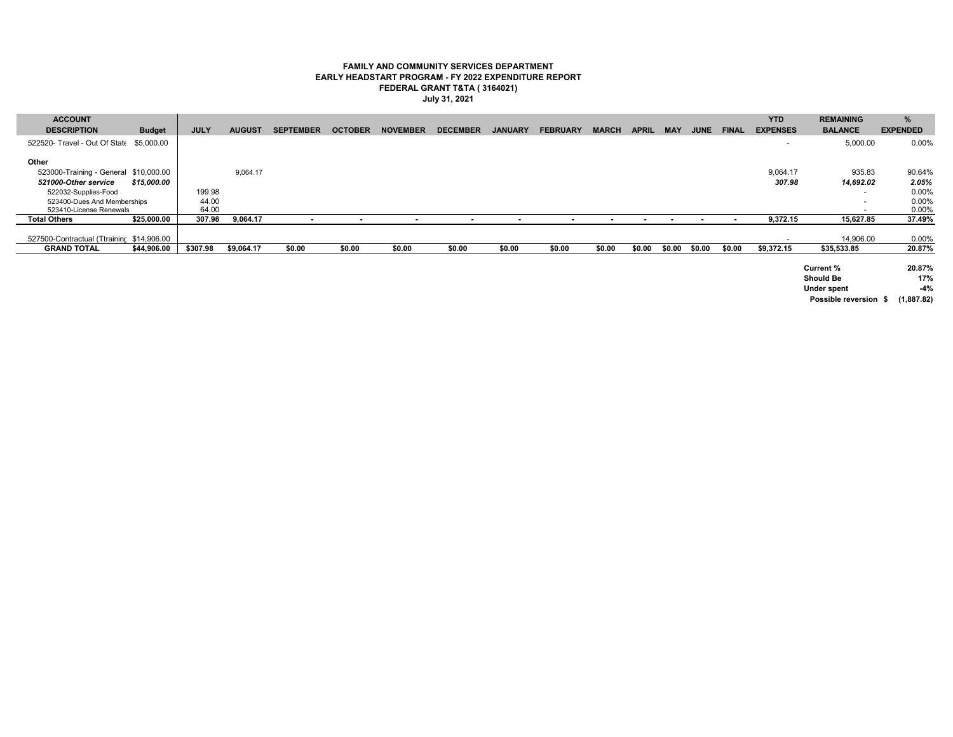#### **FAMILY AND COMMUNITY SERVICES DEPARTMENT EARLY HEADSTART PROGRAM - FY 2022 EXPENDITURE REPORT FEDERAL GRANT T&TA ( 3164021) July 31, 2021**

| <b>ACCOUNT</b>                            |               |             |               |                  |                |                          |                          |                |                          |              |                          |                          |             |                | <b>YTD</b>               | <b>REMAINING</b>              | %               |
|-------------------------------------------|---------------|-------------|---------------|------------------|----------------|--------------------------|--------------------------|----------------|--------------------------|--------------|--------------------------|--------------------------|-------------|----------------|--------------------------|-------------------------------|-----------------|
| <b>DESCRIPTION</b>                        | <b>Budget</b> | <b>JULY</b> | <b>AUGUST</b> | <b>SEPTEMBER</b> | <b>OCTOBER</b> | <b>NOVEMBER</b>          | <b>DECEMBER</b>          | <b>JANUARY</b> | <b>FEBRUARY</b>          | <b>MARCH</b> | <b>APRIL</b>             | <b>MAY</b>               | <b>JUNE</b> | <b>FINAL</b>   | <b>EXPENSES</b>          | <b>BALANCE</b>                | <b>EXPENDED</b> |
| 522520- Travel - Out Of State \$5,000.00  |               |             |               |                  |                |                          |                          |                |                          |              |                          |                          |             |                | $\overline{\phantom{a}}$ | 5,000.00                      | 0.00%           |
| Other                                     |               |             |               |                  |                |                          |                          |                |                          |              |                          |                          |             |                |                          |                               |                 |
| 523000-Training - General \$10,000.00     |               |             | 9,064.17      |                  |                |                          |                          |                |                          |              |                          |                          |             |                | 9,064.17                 | 935.83                        | 90.64%          |
| 521000-Other service                      | \$15,000.00   |             |               |                  |                |                          |                          |                |                          |              |                          |                          |             |                | 307.98                   | 14,692.02                     | 2.05%           |
| 522032-Supplies-Food                      |               | 199.98      |               |                  |                |                          |                          |                |                          |              |                          |                          |             |                |                          | $\sim$                        | 0.00%           |
| 523400-Dues And Memberships               |               | 44.00       |               |                  |                |                          |                          |                |                          |              |                          |                          |             |                |                          |                               | 0.00%           |
| 523410-License Renewals                   |               | 64.00       |               |                  |                |                          |                          |                |                          |              |                          |                          |             |                |                          |                               | 0.00%           |
| <b>Total Others</b>                       | \$25,000.00   | 307.98      | 9,064.17      |                  |                | $\overline{\phantom{a}}$ | $\overline{\phantom{a}}$ |                | $\overline{\phantom{a}}$ | $\sim$       | $\overline{\phantom{a}}$ | $\overline{\phantom{a}}$ |             | $\blacksquare$ | 9,372.15                 | 15,627.85                     | 37.49%          |
|                                           |               |             |               |                  |                |                          |                          |                |                          |              |                          |                          |             |                |                          |                               |                 |
| 527500-Contractual (Ttraininc \$14,906.00 |               |             |               |                  |                |                          |                          |                |                          |              |                          |                          |             |                |                          | 14,906.00                     | 0.00%           |
| <b>GRAND TOTAL</b>                        | \$44,906.00   | \$307.98    | \$9,064.17    | \$0.00           | \$0.00         | \$0.00                   | \$0.00                   | \$0.00         | \$0.00                   | \$0.00       | \$0.00                   | \$0.00                   | \$0.00      | \$0.00         | \$9.372.15               | \$35,533.85                   | 20.87%          |
|                                           |               |             |               |                  |                |                          |                          |                |                          |              |                          |                          |             |                |                          | Current %<br><b>Should Be</b> | 20.87%<br>17%   |

**Under spent -4% Possible reversion \$ (1,887.82)**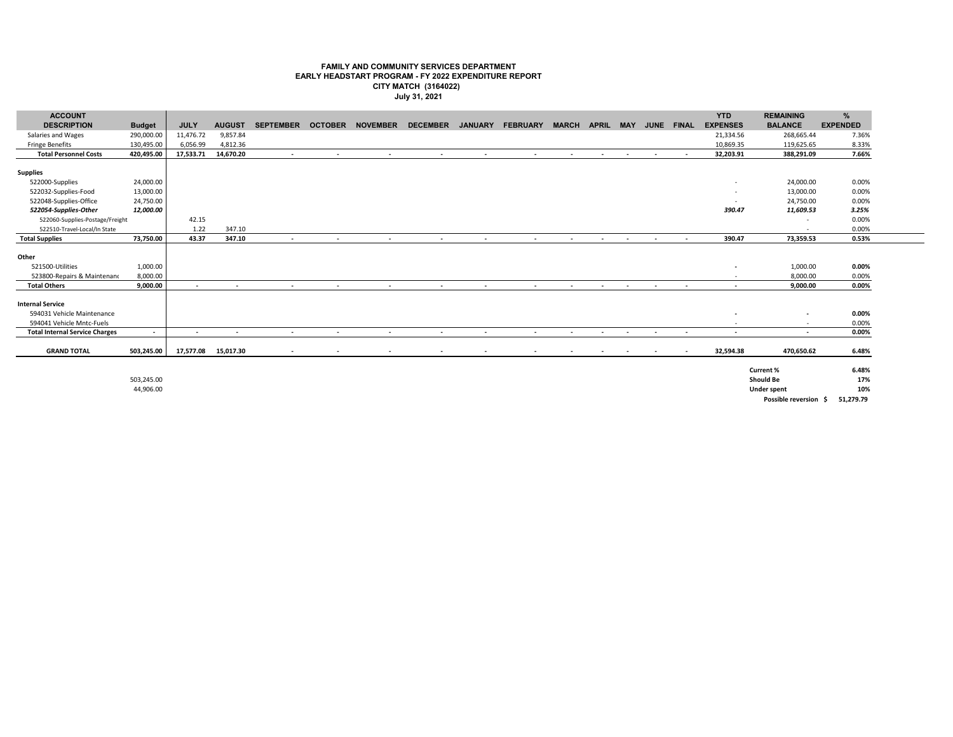#### **FAMILY AND COMMUNITY SERVICES DEPARTMENT EARLY HEADSTART PROGRAM - FY 2022 EXPENDITURE REPORT CITY MATCH (3164022) July 31, 2021**

| <b>ACCOUNT</b>                        |               |             |                          |                          |                |                 |                          |                          |                          |                          |                          |                            |                          |                          | <b>YTD</b>               | <b>REMAINING</b>               | $\frac{9}{6}$   |
|---------------------------------------|---------------|-------------|--------------------------|--------------------------|----------------|-----------------|--------------------------|--------------------------|--------------------------|--------------------------|--------------------------|----------------------------|--------------------------|--------------------------|--------------------------|--------------------------------|-----------------|
| <b>DESCRIPTION</b>                    | <b>Budget</b> | <b>JULY</b> | <b>AUGUST</b>            | <b>SEPTEMBER</b>         | <b>OCTOBER</b> | <b>NOVEMBER</b> | <b>DECEMBER</b>          | <b>JANUARY</b>           | <b>FEBRUARY</b>          | <b>MARCH</b>             | <b>APRIL MAY</b>         |                            | JUNE FINAL               |                          | <b>EXPENSES</b>          | <b>BALANCE</b>                 | <b>EXPENDED</b> |
| Salaries and Wages                    | 290,000.00    | 11,476.72   | 9,857.84                 |                          |                |                 |                          |                          |                          |                          |                          |                            |                          |                          | 21,334.56                | 268,665.44                     | 7.36%           |
| <b>Fringe Benefits</b>                | 130,495.00    | 6,056.99    | 4,812.36                 |                          |                |                 |                          |                          |                          |                          |                          |                            |                          |                          | 10,869.35                | 119,625.65                     | 8.33%           |
| <b>Total Personnel Costs</b>          | 420,495.00    | 17,533.71   | 14,670.20                |                          | $\sim$         |                 | $\sim$                   | $\sim$                   | $\sim$                   | <b>Contract Contract</b> |                          | the company of the company | <b>Contract Contract</b> | $\sim$ 100 $\pm$         | 32,203.91                | 388.291.09                     | 7.66%           |
|                                       |               |             |                          |                          |                |                 |                          |                          |                          |                          |                          |                            |                          |                          |                          |                                |                 |
| <b>Supplies</b>                       |               |             |                          |                          |                |                 |                          |                          |                          |                          |                          |                            |                          |                          |                          |                                |                 |
| 522000-Supplies                       | 24,000.00     |             |                          |                          |                |                 |                          |                          |                          |                          |                          |                            |                          |                          | $\sim$                   | 24,000.00                      | 0.00%           |
| 522032-Supplies-Food                  | 13,000.00     |             |                          |                          |                |                 |                          |                          |                          |                          |                          |                            |                          |                          | $\sim$                   | 13,000.00                      | 0.00%           |
| 522048-Supplies-Office                | 24,750.00     |             |                          |                          |                |                 |                          |                          |                          |                          |                          |                            |                          |                          | $\overline{a}$           | 24,750.00                      | 0.00%           |
| 522054-Supplies-Other                 | 12,000.00     |             |                          |                          |                |                 |                          |                          |                          |                          |                          |                            |                          |                          | 390.47                   | 11,609.53                      | 3.25%           |
| 522060-Supplies-Postage/Freight       |               | 42.15       |                          |                          |                |                 |                          |                          |                          |                          |                          |                            |                          |                          |                          | $\sim$                         | 0.00%           |
| 522510-Travel-Local/In State          |               | 1.22        | 347.10                   |                          |                |                 |                          |                          |                          |                          |                          |                            |                          |                          |                          |                                | 0.00%           |
| <b>Total Supplies</b>                 | 73.750.00     | 43.37       | 347.10                   | $\overline{\phantom{a}}$ |                | $\sim$          | $\sim$                   | $\sim$                   | $\sim$                   | $\sim$                   | $\sim$                   | $\sim$                     | $\sim$                   | $\sim$                   | 390.47                   | 73,359.53                      | 0.53%           |
|                                       |               |             |                          |                          |                |                 |                          |                          |                          |                          |                          |                            |                          |                          |                          |                                |                 |
| Other                                 |               |             |                          |                          |                |                 |                          |                          |                          |                          |                          |                            |                          |                          |                          |                                |                 |
| 521500-Utilities                      | 1,000.00      |             |                          |                          |                |                 |                          |                          |                          |                          |                          |                            |                          |                          | $\overline{\phantom{a}}$ | 1,000.00                       | $0.00\%$        |
| 523800-Repairs & Maintenand           | 8,000.00      |             |                          |                          |                |                 |                          |                          |                          |                          |                          |                            |                          |                          |                          | 8,000.00                       | 0.00%           |
| <b>Total Others</b>                   | 9.000.00      | $\sim$      | $\sim$                   | $\sim$                   | $\sim$         | $\sim$          | $\sim$                   | $\sim$                   | $\sim$                   | $\sim$                   | $\sim$                   | $\sim$                     | $\sim$                   | $\overline{\phantom{a}}$ | $\sim$                   | 9,000.00                       | 0.00%           |
|                                       |               |             |                          |                          |                |                 |                          |                          |                          |                          |                          |                            |                          |                          |                          |                                |                 |
| <b>Internal Service</b>               |               |             |                          |                          |                |                 |                          |                          |                          |                          |                          |                            |                          |                          |                          |                                |                 |
| 594031 Vehicle Maintenance            |               |             |                          |                          |                |                 |                          |                          |                          |                          |                          |                            |                          |                          | $\overline{\phantom{a}}$ | $\overline{\phantom{a}}$       | 0.00%           |
| 594041 Vehicle Mntc-Fuels             |               |             |                          |                          |                |                 |                          |                          |                          |                          |                          |                            |                          |                          | $\sim$                   | $\sim$                         | 0.00%           |
| <b>Total Internal Service Charges</b> | $\sim$        | $\sim$      | $\overline{\phantom{a}}$ | $\sim$                   | $\sim$         | $\sim$          | $\sim$                   | $\sim$                   | $\sim$                   | $\sim$                   | $\sim$                   | $\sim$                     | $\sim$                   | $\sim$                   | $\sim$                   | $\overline{\phantom{a}}$       | 0.00%           |
|                                       |               |             |                          |                          |                |                 |                          |                          |                          |                          |                          |                            |                          |                          |                          |                                |                 |
| <b>GRAND TOTAL</b>                    | 503,245.00    | 17,577.08   | 15,017.30                | $\sim$                   | $\sim$         |                 | $\overline{\phantom{a}}$ | $\overline{\phantom{a}}$ | $\overline{\phantom{a}}$ | $\sim$                   | $\overline{\phantom{a}}$ | $\sim$                     | $\sim$                   | $\overline{\phantom{a}}$ | 32,594.38                | 470,650.62                     | 6.48%           |
|                                       |               |             |                          |                          |                |                 |                          |                          |                          |                          |                          |                            |                          |                          |                          |                                |                 |
|                                       |               |             |                          |                          |                |                 |                          |                          |                          |                          |                          |                            |                          |                          |                          | Current %                      | 6.48%           |
|                                       | 503,245.00    |             |                          |                          |                |                 |                          |                          |                          |                          |                          |                            |                          |                          |                          | <b>Should Be</b>               | 17%             |
|                                       | 44,906.00     |             |                          |                          |                |                 |                          |                          |                          |                          |                          |                            |                          |                          |                          | <b>Under spent</b>             | 10%             |
|                                       |               |             |                          |                          |                |                 |                          |                          |                          |                          |                          |                            |                          |                          |                          | Doscible reversion C 51 770 70 |                 |

**Possible reversion \$ 51,279.79**